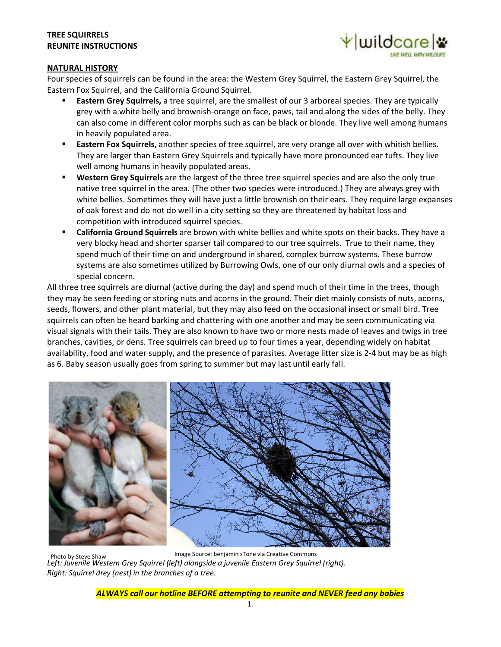# **TREE SQUIRRELS REUNITE INSTRUCTIONS**



## **NATURAL HISTORY**

Four species of squirrels can be found in the area: the Western Grey Squirrel, the Eastern Grey Squirrel, the Eastern Fox Squirrel, and the California Ground Squirrel.

- **Eastern Grey Squirrels,** a tree squirrel, are the smallest of our 3 arboreal species. They are typically grey with a white belly and brownish-orange on face, paws, tail and along the sides of the belly. They can also come in different color morphs such as can be black or blonde. They live well among humans in heavily populated area.
- ß **Eastern Fox Squirrels,** another species of tree squirrel, are very orange all over with whitish bellies. They are larger than Eastern Grey Squirrels and typically have more pronounced ear tufts. They live well among humans in heavily populated areas.
- ß **Western Grey Squirrels** are the largest of the three tree squirrel species and are also the only true native tree squirrel in the area. (The other two species were introduced.) They are always grey with white bellies. Sometimes they will have just a little brownish on their ears. They require large expanses of oak forest and do not do well in a city setting so they are threatened by habitat loss and competition with introduced squirrel species.
- **Example 2 California Ground Squirrels** are brown with white bellies and white spots on their backs. They have a very blocky head and shorter sparser tail compared to our tree squirrels. True to their name, they spend much of their time on and underground in shared, complex burrow systems. These burrow systems are also sometimes utilized by Burrowing Owls, one of our only diurnal owls and a species of special concern.

All three tree squirrels are diurnal (active during the day) and spend much of their time in the trees, though they may be seen feeding or storing nuts and acorns in the ground. Their diet mainly consists of nuts, acorns, seeds, flowers, and other plant material, but they may also feed on the occasional insect or small bird. Tree squirrels can often be heard barking and chattering with one another and may be seen communicating via visual signals with their tails. They are also known to have two or more nests made of leaves and twigs in tree branches, cavities, or dens. Tree squirrels can breed up to four times a year, depending widely on habitat availability, food and water supply, and the presence of parasites. Average litter size is 2-4 but may be as high as 6. Baby season usually goes from spring to summer but may last until early fall.



*Left: Juvenile Western Grey Squirrel (left) alongside a juvenile Eastern Grey Squirrel (right). Right: Squirrel drey (nest) in the branches of a tree.*  Photo by Steve Shaw Image Source: benjamin sTone via Creative Commons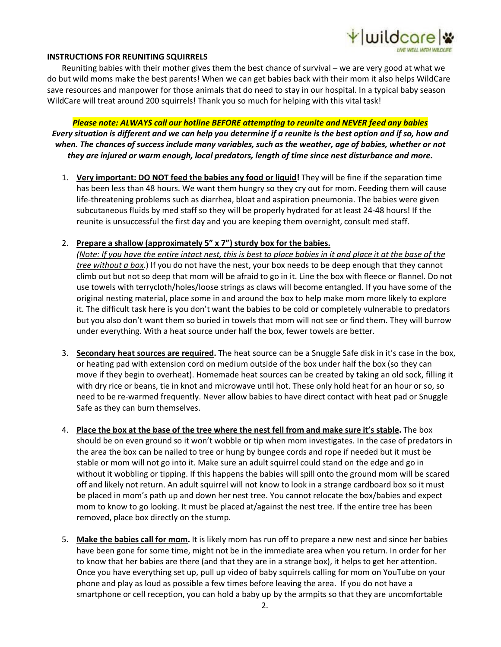

## **INSTRUCTIONS FOR REUNITING SQUIRRELS**

Reuniting babies with their mother gives them the best chance of survival – we are very good at what we do but wild moms make the best parents! When we can get babies back with their mom it also helps WildCare save resources and manpower for those animals that do need to stay in our hospital. In a typical baby season WildCare will treat around 200 squirrels! Thank you so much for helping with this vital task!

## *Please note: ALWAYS call our hotline BEFORE attempting to reunite and NEVER feed any babies*

*Every situation is different and we can help you determine if a reunite is the best option and if so, how and when. The chances of success include many variables, such as the weather, age of babies, whether or not they are injured or warm enough, local predators, length of time since nest disturbance and more.*

1. **Very important: DO NOT feed the babies any food or liquid!** They will be fine if the separation time has been less than 48 hours. We want them hungry so they cry out for mom. Feeding them will cause life-threatening problems such as diarrhea, bloat and aspiration pneumonia. The babies were given subcutaneous fluids by med staff so they will be properly hydrated for at least 24-48 hours! If the reunite is unsuccessful the first day and you are keeping them overnight, consult med staff.

## 2. **Prepare a shallow (approximately 5" x 7") sturdy box for the babies.**

*(Note: If you have the entire intact nest, this is best to place babies in it and place it at the base of the tree without a box.*) If you do not have the nest, your box needs to be deep enough that they cannot climb out but not so deep that mom will be afraid to go in it. Line the box with fleece or flannel. Do not use towels with terrycloth/holes/loose strings as claws will become entangled. If you have some of the original nesting material, place some in and around the box to help make mom more likely to explore it. The difficult task here is you don't want the babies to be cold or completely vulnerable to predators but you also don't want them so buried in towels that mom will not see or find them. They will burrow under everything. With a heat source under half the box, fewer towels are better.

- 3. **Secondary heat sources are required.** The heat source can be a Snuggle Safe disk in it's case in the box, or heating pad with extension cord on medium outside of the box under half the box (so they can move if they begin to overheat). Homemade heat sources can be created by taking an old sock, filling it with dry rice or beans, tie in knot and microwave until hot. These only hold heat for an hour or so, so need to be re-warmed frequently. Never allow babies to have direct contact with heat pad or Snuggle Safe as they can burn themselves.
- 4. **Place the box at the base of the tree where the nest fell from and make sure it's stable.** The box should be on even ground so it won't wobble or tip when mom investigates. In the case of predators in the area the box can be nailed to tree or hung by bungee cords and rope if needed but it must be stable or mom will not go into it. Make sure an adult squirrel could stand on the edge and go in without it wobbling or tipping. If this happens the babies will spill onto the ground mom will be scared off and likely not return. An adult squirrel will not know to look in a strange cardboard box so it must be placed in mom's path up and down her nest tree. You cannot relocate the box/babies and expect mom to know to go looking. It must be placed at/against the nest tree. If the entire tree has been removed, place box directly on the stump.
- 5. **Make the babies call for mom.** It is likely mom has run off to prepare a new nest and since her babies have been gone for some time, might not be in the immediate area when you return. In order for her to know that her babies are there (and that they are in a strange box), it helps to get her attention. Once you have everything set up, pull up video of baby squirrels calling for mom on YouTube on your phone and play as loud as possible a few times before leaving the area. If you do not have a smartphone or cell reception, you can hold a baby up by the armpits so that they are uncomfortable